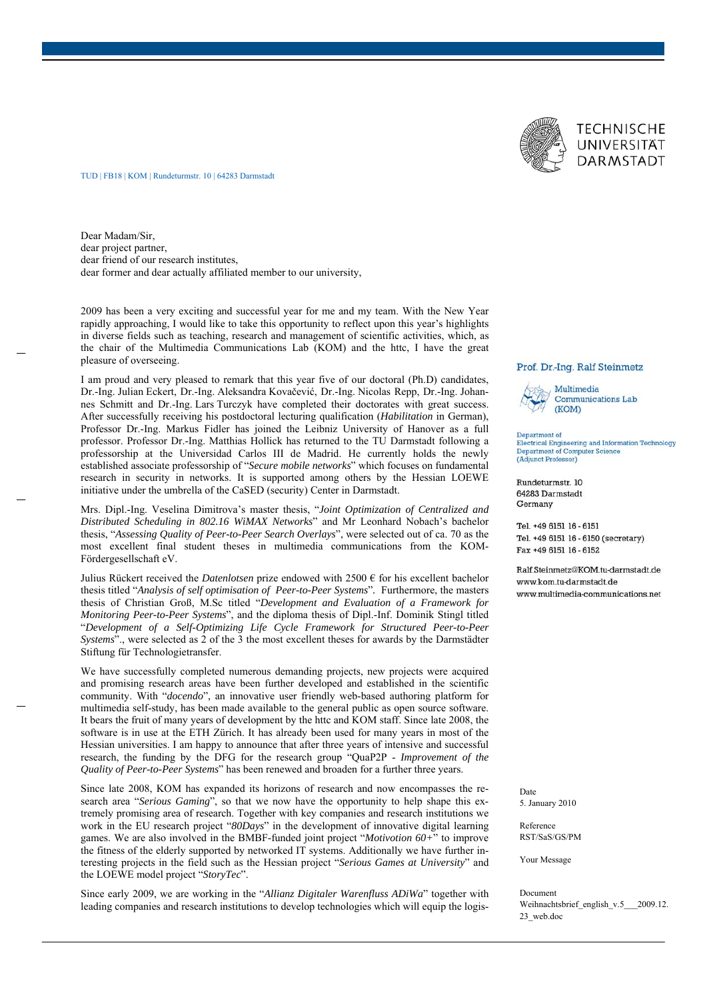

## TUD | FB18 | KOM | Rundeturmstr. 10 | 64283 Darmstadt

Dear Madam/Sir, dear project partner, dear friend of our research institutes, dear former and dear actually affiliated member to our university,

2009 has been a very exciting and successful year for me and my team. With the New Year rapidly approaching, I would like to take this opportunity to reflect upon this year's highlights in diverse fields such as teaching, research and management of scientific activities, which, as the chair of the Multimedia Communications Lab (KOM) and the httc, I have the great pleasure of overseeing.

I am proud and very pleased to remark that this year five of our doctoral (Ph.D) candidates, Dr.-Ing. Julian Eckert, Dr.-Ing. Aleksandra Kovačević, Dr.-Ing. Nicolas Repp, Dr.-Ing. Johannes Schmitt and Dr.-Ing. Lars Turczyk have completed their doctorates with great success. After successfully receiving his postdoctoral lecturing qualification (*Habilitation* in German), Professor Dr.-Ing. Markus Fidler has joined the Leibniz University of Hanover as a full professor. Professor Dr.-Ing. Matthias Hollick has returned to the TU Darmstadt following a professorship at the Universidad Carlos III de Madrid. He currently holds the newly established associate professorship of "*Secure mobile networks*" which focuses on fundamental research in security in networks. It is supported among others by the Hessian LOEWE initiative under the umbrella of the CaSED (security) Center in Darmstadt.

Mrs. Dipl.-Ing. Veselina Dimitrova's master thesis, "*Joint Optimization of Centralized and Distributed Scheduling in 802.16 WiMAX Networks*" and Mr Leonhard Nobach's bachelor thesis, "*Assessing Quality of Peer-to-Peer Search Overlays*", were selected out of ca. 70 as the most excellent final student theses in multimedia communications from the KOM-Fördergesellschaft eV.

Julius Rückert received the *Datenlotsen* prize endowed with 2500 € for his excellent bachelor thesis titled "*Analysis of self optimisation of Peer-to-Peer Systems*"*.* Furthermore, the masters thesis of Christian Groß, M.Sc titled "*Development and Evaluation of a Framework for Monitoring Peer-to-Peer Systems*", and the diploma thesis of Dipl.-Inf. Dominik Stingl titled "*Development of a Self-Optimizing Life Cycle Framework for Structured Peer-to-Peer Systems*"., were selected as 2 of the 3 the most excellent theses for awards by the Darmstädter Stiftung für Technologietransfer.

We have successfully completed numerous demanding projects, new projects were acquired and promising research areas have been further developed and established in the scientific community. With "*docendo*", an innovative user friendly web-based authoring platform for multimedia self-study, has been made available to the general public as open source software. It bears the fruit of many years of development by the httc and KOM staff. Since late 2008, the software is in use at the ETH Zürich. It has already been used for many years in most of the Hessian universities. I am happy to announce that after three years of intensive and successful research, the funding by the DFG for the research group "QuaP2P - *Improvement of the Quality of Peer-to-Peer Systems*" has been renewed and broaden for a further three years.

Since late 2008, KOM has expanded its horizons of research and now encompasses the research area "*Serious Gaming*", so that we now have the opportunity to help shape this extremely promising area of research. Together with key companies and research institutions we work in the EU research project "*80Days*" in the development of innovative digital learning games. We are also involved in the BMBF-funded joint project "*Motivotion 60+*" to improve the fitness of the elderly supported by networked IT systems. Additionally we have further interesting projects in the field such as the Hessian project "*Serious Games at University*" and the LOEWE model project "*StoryTec*".

Since early 2009, we are working in the "*Allianz Digitaler Warenfluss ADiWa*" together with leading companies and research institutions to develop technologies which will equip the logis-

### Prof. Dr.-Ing. Ralf Steinmetz



**Communications Lab** (KOM)

Department of<br>Electrical Engineering and Information Technology **Department of Computer Science** (Adjunct Professor)

Rundeturmstr. 10 64283 Darmstadt Germany

Tel. +49 6151 16 - 6151 Tel. +49 6151 16 - 6150 (secretary) Fax +49 6151 16 - 6152

Ralf.Steinmetz@KOM.tu-darmstadt.de www.kom.tu-darmstadt.de www.multimedia-communications.net

Date 5. January 2010

Reference RST/SaS/GS/PM

Your Message

Document Weihnachtsbrief\_english\_v.5\_\_\_2009.12. 23\_web.doc